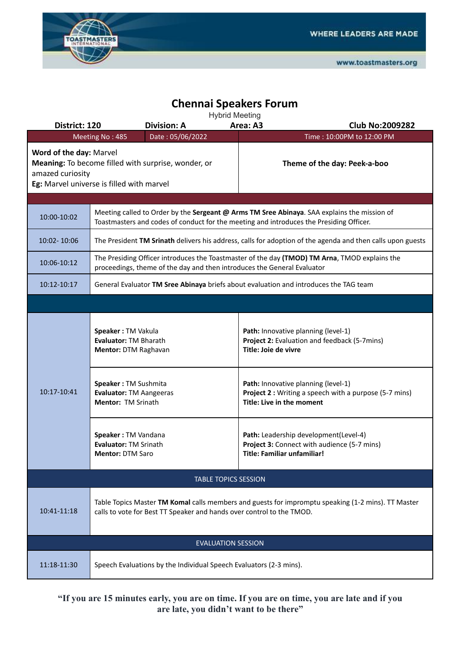

## **Chennai Speakers Forum**

|  |  | <b>Hybrid Meeting</b> |  |  |  |
|--|--|-----------------------|--|--|--|

| District: 120                               | <b>Hyprig Meeting</b><br><b>Division: A</b>                                                                                                                                                                                           | <b>Club No:2009282</b> |                                                                                                                                                                                                                                                                                                                                          |  |  |  |
|---------------------------------------------|---------------------------------------------------------------------------------------------------------------------------------------------------------------------------------------------------------------------------------------|------------------------|------------------------------------------------------------------------------------------------------------------------------------------------------------------------------------------------------------------------------------------------------------------------------------------------------------------------------------------|--|--|--|
|                                             | Date: 05/06/2022<br>Meeting No: 485                                                                                                                                                                                                   |                        | Time: 10:00PM to 12:00 PM                                                                                                                                                                                                                                                                                                                |  |  |  |
| Word of the day: Marvel<br>amazed curiosity | Meaning: To become filled with surprise, wonder, or<br>Eg: Marvel universe is filled with marvel                                                                                                                                      |                        | Theme of the day: Peek-a-boo                                                                                                                                                                                                                                                                                                             |  |  |  |
|                                             |                                                                                                                                                                                                                                       |                        |                                                                                                                                                                                                                                                                                                                                          |  |  |  |
| 10:00-10:02                                 | Meeting called to Order by the Sergeant @ Arms TM Sree Abinaya. SAA explains the mission of<br>Toastmasters and codes of conduct for the meeting and introduces the Presiding Officer.                                                |                        |                                                                                                                                                                                                                                                                                                                                          |  |  |  |
| 10:02-10:06                                 |                                                                                                                                                                                                                                       |                        | The President TM Srinath delivers his address, calls for adoption of the agenda and then calls upon guests                                                                                                                                                                                                                               |  |  |  |
| 10:06-10:12                                 | The Presiding Officer introduces the Toastmaster of the day (TMOD) TM Arna, TMOD explains the<br>proceedings, theme of the day and then introduces the General Evaluator                                                              |                        |                                                                                                                                                                                                                                                                                                                                          |  |  |  |
| 10:12-10:17                                 | General Evaluator TM Sree Abinaya briefs about evaluation and introduces the TAG team                                                                                                                                                 |                        |                                                                                                                                                                                                                                                                                                                                          |  |  |  |
|                                             |                                                                                                                                                                                                                                       |                        |                                                                                                                                                                                                                                                                                                                                          |  |  |  |
| 10:17-10:41                                 | Speaker: TM Vakula<br>Evaluator: TM Bharath<br>Mentor: DTM Raghavan<br>Speaker: TM Sushmita<br><b>Evaluator: TM Aangeeras</b><br>Mentor: TM Srinath<br>Speaker: TM Vandana<br><b>Evaluator: TM Srinath</b><br><b>Mentor: DTM Saro</b> | Title: Joie de vivre   | Path: Innovative planning (level-1)<br>Project 2: Evaluation and feedback (5-7mins)<br>Path: Innovative planning (level-1)<br>Project 2 : Writing a speech with a purpose (5-7 mins)<br>Title: Live in the moment<br>Path: Leadership development(Level-4)<br>Project 3: Connect with audience (5-7 mins)<br>Title: Familiar unfamiliar! |  |  |  |
|                                             |                                                                                                                                                                                                                                       |                        |                                                                                                                                                                                                                                                                                                                                          |  |  |  |
|                                             | <b>TABLE TOPICS SESSION</b>                                                                                                                                                                                                           |                        |                                                                                                                                                                                                                                                                                                                                          |  |  |  |
| 10:41-11:18                                 | Table Topics Master TM Komal calls members and guests for impromptu speaking (1-2 mins). TT Master<br>calls to vote for Best TT Speaker and hands over control to the TMOD.                                                           |                        |                                                                                                                                                                                                                                                                                                                                          |  |  |  |
|                                             | <b>EVALUATION SESSION</b>                                                                                                                                                                                                             |                        |                                                                                                                                                                                                                                                                                                                                          |  |  |  |
| 11:18-11:30                                 | Speech Evaluations by the Individual Speech Evaluators (2-3 mins).                                                                                                                                                                    |                        |                                                                                                                                                                                                                                                                                                                                          |  |  |  |

**"If you are 15 minutes early, you are on time. If you are on time, you are late and if you are late, you didn't want to be there"**